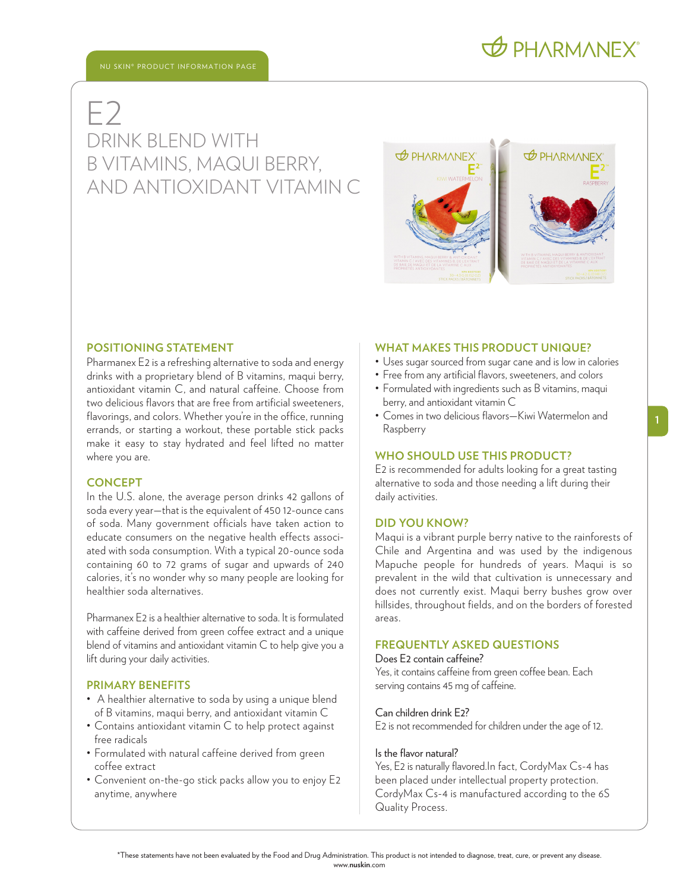# **O PHARMANEX**

## E2 DRINK BLEND WITH B VITAMINS, MAQUI BERRY, AND ANTIOXIDANT VITAMIN C



#### **POSITIONING STATEMENT**

Pharmanex E2 is a refreshing alternative to soda and energy drinks with a proprietary blend of B vitamins, maqui berry, antioxidant vitamin C, and natural caffeine. Choose from two delicious flavors that are free from artificial sweeteners, flavorings, and colors. Whether you're in the office, running errands, or starting a workout, these portable stick packs make it easy to stay hydrated and feel lifted no matter where you are.

#### **CONCEPT**

In the U.S. alone, the average person drinks 42 gallons of soda every year—that is the equivalent of 450 12-ounce cans of soda. Many government officials have taken action to educate consumers on the negative health effects associated with soda consumption. With a typical 20-ounce soda containing 60 to 72 grams of sugar and upwards of 240 calories, it's no wonder why so many people are looking for healthier soda alternatives.

Pharmanex E2 is a healthier alternative to soda. It is formulated with caffeine derived from green coffee extract and a unique blend of vitamins and antioxidant vitamin C to help give you a lift during your daily activities.

#### **PRIMARY BENEFITS**

- A healthier alternative to soda by using a unique blend of B vitamins, maqui berry, and antioxidant vitamin C
- Contains antioxidant vitamin C to help protect against free radicals
- Formulated with natural caffeine derived from green coffee extract
- Convenient on-the-go stick packs allow you to enjoy E2 anytime, anywhere

#### **WHAT MAKES THIS PRODUCT UNIQUE?**

- Uses sugar sourced from sugar cane and is low in calories
- Free from any artificial flavors, sweeteners, and colors
- Formulated with ingredients such as B vitamins, maqui berry, and antioxidant vitamin C
- Comes in two delicious flavors—Kiwi Watermelon and Raspberry

#### **WHO SHOULD USE THIS PRODUCT?**

E2 is recommended for adults looking for a great tasting alternative to soda and those needing a lift during their daily activities.

#### **DID YOU KNOW?**

Maqui is a vibrant purple berry native to the rainforests of Chile and Argentina and was used by the indigenous Mapuche people for hundreds of years. Maqui is so prevalent in the wild that cultivation is unnecessary and does not currently exist. Maqui berry bushes grow over hillsides, throughout fields, and on the borders of forested areas.

### **FREQUENTLY ASKED QUESTIONS**

#### Does E2 contain caffeine?

Yes, it contains caffeine from green coffee bean. Each serving contains 45 mg of caffeine.

#### Can children drink E2?

E2 is not recommended for children under the age of 12.

#### Is the flavor natural?

Yes, E2 is naturally flavored.In fact, CordyMax Cs-4 has been placed under intellectual property protection. CordyMax Cs-4 is manufactured according to the 6S Quality Process.